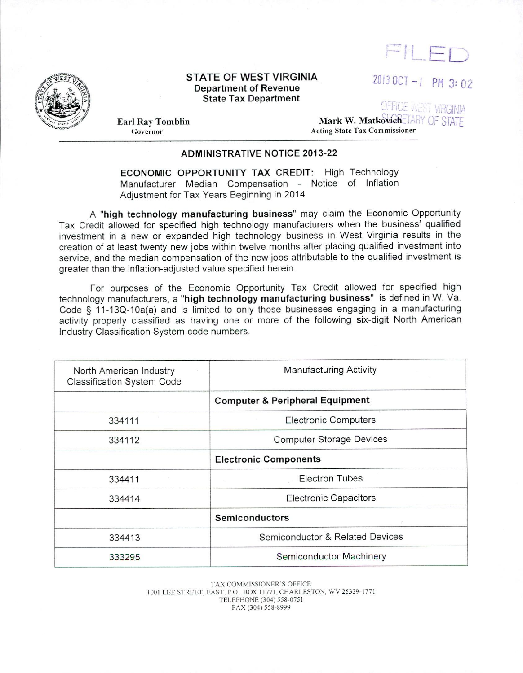

2Dl3 OC T - / PM 3: *02* 



## **STATE OF WEST VIRGINIA Department of Revenue State Tax Department**

**Earl** Ray **Tomblin**  Governor

... ' ... - **Mark W. Matkovich A.** Acting State Tax Commissioner

 $\cap$ 

## **ADMINISTRATIVE NOTICE 2013-22**

**ECONOMIC OPPORTUNITY TAX CREDIT:** High Technology Manufacturer Median Compensation - Notice of Inflation Adjustment for Tax Years Beginning in 2014

<sup>A</sup>**"high technology manufacturing business"** may claim the Economic Opportunity Tax Credit allowed for specified high technology manufacturers when the business' qualified investment in a new or expanded high technology business in West Virginia results in the creation of at least twenty new jobs within twelve months after placing qualified investment into service, and the median compensation of the new jobs attributable to the qualified investment is greater than the inflation-adjusted value specified herein.

For purposes of the Economic Opportunity Tax Credit allowed for specified high technology manufacturers, a **"high technology manufacturing business"** is defined in W. Va. Code § 11-13Q-10a(a) and is limited to only those businesses engaging in a manufacturing activity properly classified as having one or more of the following six-digit North American Industry Classification System code numbers.

| North American Industry<br><b>Classification System Code</b> | <b>Manufacturing Activity</b>              |
|--------------------------------------------------------------|--------------------------------------------|
|                                                              | <b>Computer &amp; Peripheral Equipment</b> |
| 334111                                                       | <b>Electronic Computers</b>                |
| 334112                                                       | <b>Computer Storage Devices</b>            |
|                                                              | <b>Electronic Components</b>               |
| 334411                                                       | <b>Electron Tubes</b><br><b>College</b>    |
| 334414                                                       | <b>Electronic Capacitors</b>               |
|                                                              | Semiconductors                             |
| 334413                                                       | Semiconductor & Related Devices            |
| 333295                                                       | Semiconductor Machinery                    |
|                                                              |                                            |

TAX COMMISSIONER'S OFFICE 1001 LEE STREET, EAST, P.O.. BOX 11771, CHARLESTON, WV 25339-1771 TELEPHONE (304) 558-075 1 FAX (304) 558-8999